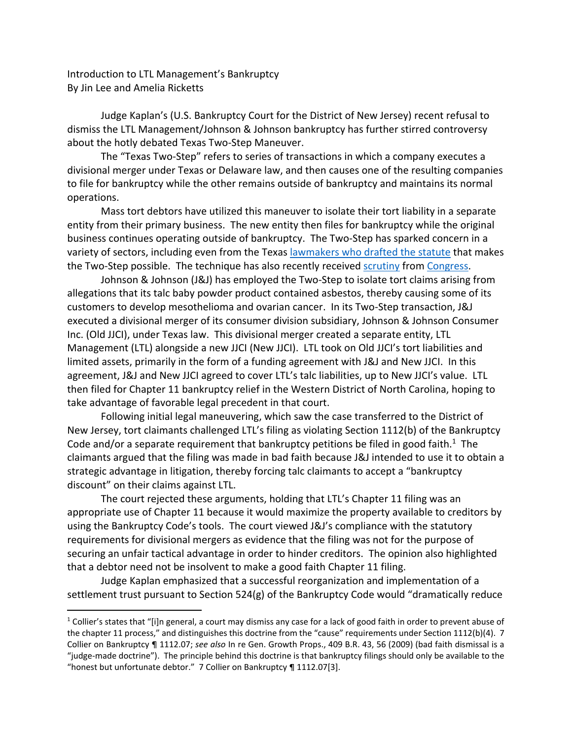Introduction to LTL Management's Bankruptcy By Jin Lee and Amelia Ricketts

Judge Kaplan's (U.S. Bankruptcy Court for the District of New Jersey) recent refusal to dismiss the LTL Management/Johnson & Johnson bankruptcy has further stirred controversy about the hotly debated Texas Two-Step Maneuver.

The "Texas Two-Step" refers to series of transactions in which a company executes a divisional merger under Texas or Delaware law, and then causes one of the resulting companies to file for bankruptcy while the other remains outside of bankruptcy and maintains its normal operations.

Mass tort debtors have utilized this maneuver to isolate their tort liability in a separate entity from their primary business. The new entity then files for bankruptcy while the original business continues operating outside of bankruptcy. The Two-Step has sparked concern in a variety of sectors, including even from the Texas [lawmakers who drafted the statute](https://www.ft.com/content/025e7678-ced9-4c53-aa17-c539d621bde7) that makes the Two-Step possible. The technique has also recently received [scrutiny](http://blogs.harvard.edu/bankruptcyroundtable/2022/02/22/senate-judiciary-committee-subcommittee-hearing-on-the-texas-two-step-a-recap/) from [Congress.](https://www.ft.com/content/2684c166-d0b7-4329-8714-84d506b99f15)

Johnson & Johnson (J&J) has employed the Two-Step to isolate tort claims arising from allegations that its talc baby powder product contained asbestos, thereby causing some of its customers to develop mesothelioma and ovarian cancer. In its Two-Step transaction, J&J executed a divisional merger of its consumer division subsidiary, Johnson & Johnson Consumer Inc. (Old JJCI), under Texas law. This divisional merger created a separate entity, LTL Management (LTL) alongside a new JJCI (New JJCI). LTL took on Old JJCI's tort liabilities and limited assets, primarily in the form of a funding agreement with J&J and New JJCI. In this agreement, J&J and New JJCI agreed to cover LTL's talc liabilities, up to New JJCI's value. LTL then filed for Chapter 11 bankruptcy relief in the Western District of North Carolina, hoping to take advantage of favorable legal precedent in that court.

Following initial legal maneuvering, which saw the case transferred to the District of New Jersey, tort claimants challenged LTL's filing as violating Section 1112(b) of the Bankruptcy Code and/or a separate requirement that bankruptcy petitions be filed in good faith.<sup>1</sup> The claimants argued that the filing was made in bad faith because J&J intended to use it to obtain a strategic advantage in litigation, thereby forcing talc claimants to accept a "bankruptcy discount" on their claims against LTL.

The court rejected these arguments, holding that LTL's Chapter 11 filing was an appropriate use of Chapter 11 because it would maximize the property available to creditors by using the Bankruptcy Code's tools. The court viewed J&J's compliance with the statutory requirements for divisional mergers as evidence that the filing was not for the purpose of securing an unfair tactical advantage in order to hinder creditors. The opinion also highlighted that a debtor need not be insolvent to make a good faith Chapter 11 filing.

Judge Kaplan emphasized that a successful reorganization and implementation of a settlement trust pursuant to Section 524(g) of the Bankruptcy Code would "dramatically reduce

 $1$  Collier's states that "[i]n general, a court may dismiss any case for a lack of good faith in order to prevent abuse of the chapter 11 process," and distinguishes this doctrine from the "cause" requirements under Section 1112(b)(4). 7 Collier on Bankruptcy ¶ 1112.07; *see also* In re Gen. Growth Props., 409 B.R. 43, 56 (2009) (bad faith dismissal is a "judge-made doctrine"). The principle behind this doctrine is that bankruptcy filings should only be available to the "honest but unfortunate debtor." 7 Collier on Bankruptcy ¶ 1112.07[3].